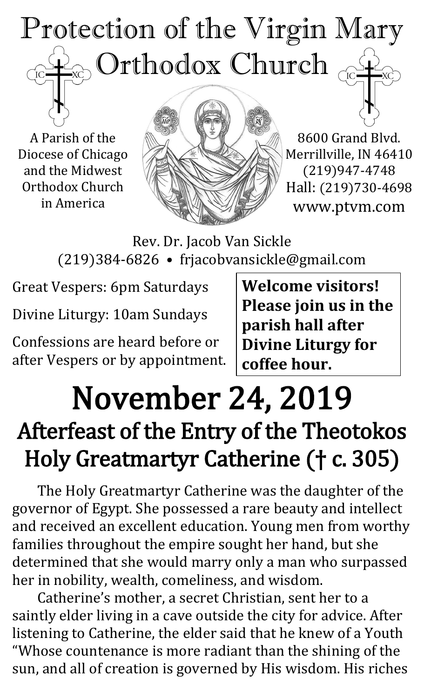## Protection of the Virgin Mary  $_{\odot}$  Orthodox Church  $_{\odot \rm \odot}$  $\overline{C}$

A Parish of the Diocese of Chicago and the Midwest Orthodox Church in America



8600 Grand Blvd. Merrillville, IN 46410 (219)947-4748 Hall: (219)730-4698 www.ptvm.com

Rev. Dr. Jacob Van Sickle (219)384-6826 • frjacobvansickle@gmail.com

Great Vespers: 6pm Saturdays

Divine Liturgy: 10am Sundays

Confessions are heard before or after Vespers or by appointment. **Welcome visitors! Please join us in the parish hall after Divine Liturgy for coffee hour.**

## November 24, 2019 Afterfeast of the Entry of the Theotokos Holy Greatmartyr Catherine († c. 305)

The Holy Greatmartyr Catherine was the daughter of the governor of Egypt. She possessed a rare beauty and intellect and received an excellent education. Young men from worthy families throughout the empire sought her hand, but she determined that she would marry only a man who surpassed her in nobility, wealth, comeliness, and wisdom.

Catherine's mother, a secret Christian, sent her to a saintly elder living in a cave outside the city for advice. After listening to Catherine, the elder said that he knew of a Youth "Whose countenance is more radiant than the shining of the sun, and all of creation is governed by His wisdom. His riches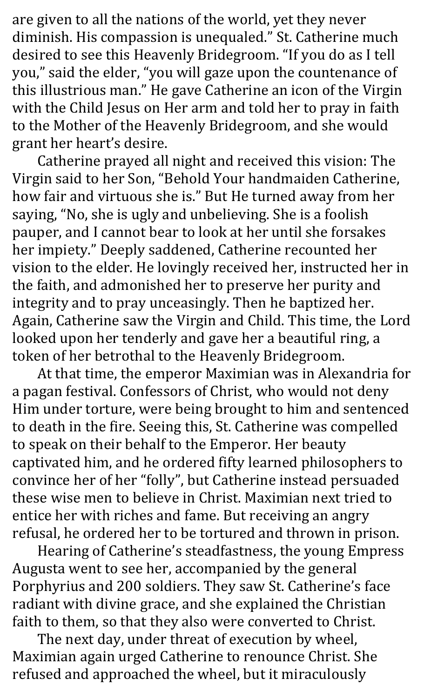are given to all the nations of the world, yet they never diminish. His compassion is unequaled." St. Catherine much desired to see this Heavenly Bridegroom. "If you do as I tell you," said the elder, "you will gaze upon the countenance of this illustrious man." He gave Catherine an icon of the Virgin with the Child Jesus on Her arm and told her to pray in faith to the Mother of the Heavenly Bridegroom, and she would grant her heart's desire.

Catherine prayed all night and received this vision: The Virgin said to her Son, "Behold Your handmaiden Catherine, how fair and virtuous she is." But He turned away from her saying, "No, she is ugly and unbelieving. She is a foolish pauper, and I cannot bear to look at her until she forsakes her impiety." Deeply saddened, Catherine recounted her vision to the elder. He lovingly received her, instructed her in the faith, and admonished her to preserve her purity and integrity and to pray unceasingly. Then he baptized her. Again, Catherine saw the Virgin and Child. This time, the Lord looked upon her tenderly and gave her a beautiful ring, a token of her betrothal to the Heavenly Bridegroom.

At that time, the emperor Maximian was in Alexandria for a pagan festival. Confessors of Christ, who would not deny Him under torture, were being brought to him and sentenced to death in the fire. Seeing this, St. Catherine was compelled to speak on their behalf to the Emperor. Her beauty captivated him, and he ordered fifty learned philosophers to convince her of her "folly", but Catherine instead persuaded these wise men to believe in Christ. Maximian next tried to entice her with riches and fame. But receiving an angry refusal, he ordered her to be tortured and thrown in prison.

Hearing of Catherine's steadfastness, the young Empress Augusta went to see her, accompanied by the general Porphyrius and 200 soldiers. They saw St. Catherine's face radiant with divine grace, and she explained the Christian faith to them, so that they also were converted to Christ.

The next day, under threat of execution by wheel, Maximian again urged Catherine to renounce Christ. She refused and approached the wheel, but it miraculously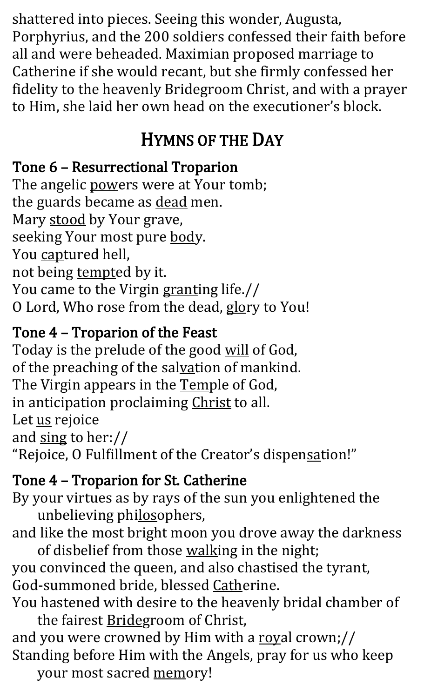shattered into pieces. Seeing this wonder, Augusta, Porphyrius, and the 200 soldiers confessed their faith before all and were beheaded. Maximian proposed marriage to Catherine if she would recant, but she firmly confessed her fidelity to the heavenly Bridegroom Christ, and with a prayer to Him, she laid her own head on the executioner's block.

### HYMNS OF THE DAY

#### Tone 6 – Resurrectional Troparion

The angelic powers were at Your tomb; the guards became as dead men. Mary stood by Your grave, seeking Your most pure body. You captured hell, not being tempted by it. You came to the Virgin granting life.// O Lord, Who rose from the dead, glory to You!

#### Tone 4 – Troparion of the Feast

Today is the prelude of the good will of God, of the preaching of the salvation of mankind. The Virgin appears in the Temple of God, in anticipation proclaiming Christ to all. Let us rejoice and sing to her:// "Rejoice, O Fulfillment of the Creator's dispensation!"

#### Tone 4 – Troparion for St. Catherine

By your virtues as by rays of the sun you enlightened the unbelieving philosophers,

and like the most bright moon you drove away the darkness of disbelief from those walking in the night;

you convinced the queen, and also chastised the tyrant, God-summoned bride, blessed Catherine.

You hastened with desire to the heavenly bridal chamber of the fairest **Bridegroom** of Christ,

and you were crowned by Him with a royal crown;// Standing before Him with the Angels, pray for us who keep

your most sacred memory!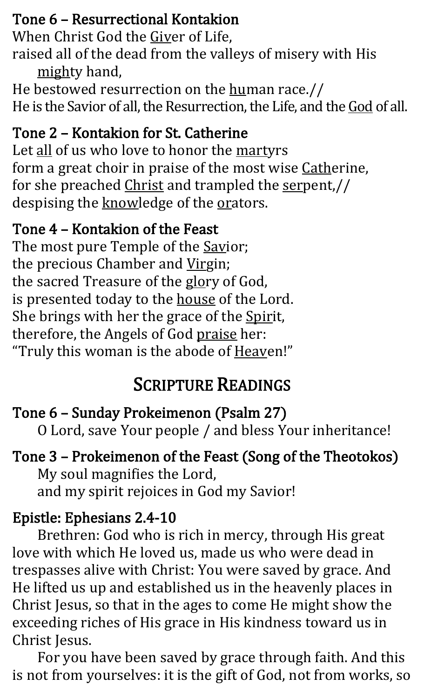#### Tone 6 – Resurrectional Kontakion

When Christ God the Giver of Life,

raised all of the dead from the valleys of misery with His mighty hand,

He bestowed resurrection on the human race.// He is the Savior of all, the Resurrection, the Life, and the God of all.

#### Tone 2 – Kontakion for St. Catherine

Let all of us who love to honor the martyrs form a great choir in praise of the most wise Catherine, for she preached Christ and trampled the serpent,// despising the knowledge of the orators.

#### Tone 4 – Kontakion of the Feast

The most pure Temple of the **Savior**; the precious Chamber and Virgin; the sacred Treasure of the glory of God, is presented today to the house of the Lord. She brings with her the grace of the Spirit, therefore, the Angels of God praise her: "Truly this woman is the abode of **Heaven!"** 

### SCRIPTURE READINGS

#### Tone 6 – Sunday Prokeimenon (Psalm 27) O Lord, save Your people / and bless Your inheritance!

Tone 3 – Prokeimenon of the Feast (Song of the Theotokos) My soul magnifies the Lord, and my spirit rejoices in God my Savior!

#### Epistle: Ephesians 2.4-10

Brethren: God who is rich in mercy, through His great love with which He loved us, made us who were dead in trespasses alive with Christ: You were saved by grace. And He lifted us up and established us in the heavenly places in Christ Jesus, so that in the ages to come He might show the exceeding riches of His grace in His kindness toward us in Christ Jesus.

For you have been saved by grace through faith. And this is not from yourselves: it is the gift of God, not from works, so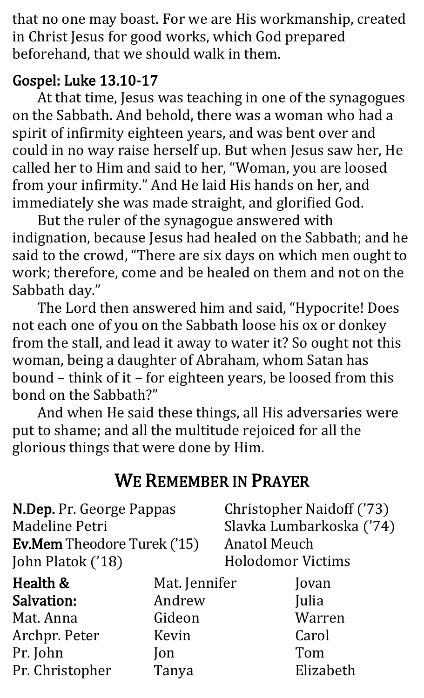that no one may boast. For we are His workmanship, created in Christ Jesus for good works, which God prepared beforehand, that we should walk in them.

#### Gospel: Luke 13.10-17

At that time, Jesus was teaching in one of the synagogues on the Sabbath. And behold, there was a woman who had a spirit of infirmity eighteen years, and was bent over and could in no way raise herself up. But when Jesus saw her, He called her to Him and said to her, "Woman, you are loosed from your infirmity." And He laid His hands on her, and immediately she was made straight, and glorified God.

But the ruler of the synagogue answered with indignation, because Jesus had healed on the Sabbath; and he said to the crowd, "There are six days on which men ought to work; therefore, come and be healed on them and not on the Sabbath day."

The Lord then answered him and said, "Hypocrite! Does not each one of you on the Sabbath loose his ox or donkey from the stall, and lead it away to water it? So ought not this woman, being a daughter of Abraham, whom Satan has bound – think of it – for eighteen years, be loosed from this bond on the Sabbath?"

And when He said these things, all His adversaries were put to shame; and all the multitude rejoiced for all the glorious things that were done by Him.

#### WE REMEMBER IN PRAYER

| N.Dep. Pr. George Pappas<br>Madeline Petri<br><b>Ev.Mem</b> Theodore Turek ('15)<br>John Platok ('18) |               | <b>Anatol Meuch</b><br><b>Holodomor Victims</b> | <b>Christopher Naidoff ('73)</b><br>Slavka Lumbarkoska ('74) |
|-------------------------------------------------------------------------------------------------------|---------------|-------------------------------------------------|--------------------------------------------------------------|
| Health &                                                                                              | Mat. Jennifer |                                                 | Jovan                                                        |
| <b>Salvation:</b>                                                                                     | Andrew        |                                                 | Julia                                                        |
| Mat. Anna                                                                                             | Gideon        |                                                 | Warren                                                       |
| Archpr. Peter                                                                                         | Kevin         |                                                 | Carol                                                        |
| Pr. John                                                                                              | <b>lon</b>    |                                                 | Tom                                                          |
| Pr. Christopher                                                                                       | Tanya         |                                                 | Elizabeth                                                    |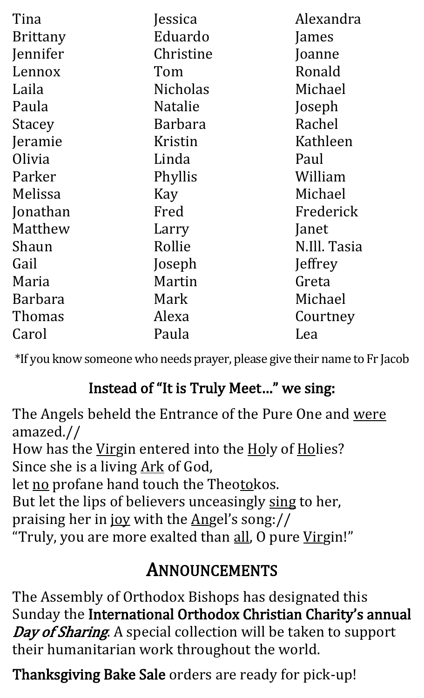| Tina            | Jessica         | Alexandra    |
|-----------------|-----------------|--------------|
| <b>Brittany</b> | Eduardo         | James        |
| Jennifer        | Christine       | Joanne       |
| Lennox          | Tom             | Ronald       |
| Laila           | <b>Nicholas</b> | Michael      |
| Paula           | <b>Natalie</b>  | Joseph       |
| <b>Stacey</b>   | <b>Barbara</b>  | Rachel       |
| Jeramie         | Kristin         | Kathleen     |
| Olivia          | Linda           | Paul         |
| Parker          | Phyllis         | William      |
| Melissa         | Kay             | Michael      |
| Jonathan        | Fred            | Frederick    |
| Matthew         | Larry           | Janet        |
| Shaun           | Rollie          | N.Ill. Tasia |
| Gail            | Joseph          | Jeffrey      |
| Maria           | Martin          | Greta        |
| Barbara         | Mark            | Michael      |
| Thomas          | Alexa           | Courtney     |
| Carol           | Paula           | Lea          |

\*If you know someone who needs prayer, please give their name to Fr Jacob

#### Instead of "It is Truly Meet…" we sing:

The Angels beheld the Entrance of the Pure One and were amazed.// How has the Virgin entered into the Holy of Holies? Since she is a living Ark of God, let no profane hand touch the Theotokos. But let the lips of believers unceasingly sing to her, praising her in joy with the Angel's song:// "Truly, you are more exalted than all, O pure Virgin!"

#### ANNOUNCEMENTS

The Assembly of Orthodox Bishops has designated this Sunday the International Orthodox Christian Charity's annual Day of Sharing. A special collection will be taken to support their humanitarian work throughout the world.

Thanksgiving Bake Sale orders are ready for pick-up!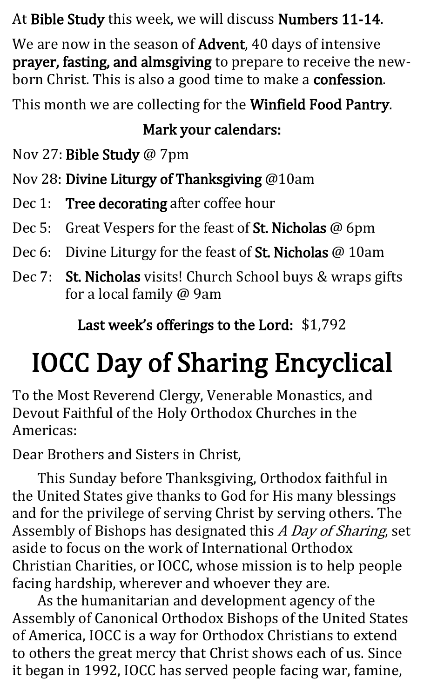#### At Bible Study this week, we will discuss Numbers 11-14.

We are now in the season of **Advent**, 40 days of intensive prayer, fasting, and almsgiving to prepare to receive the newborn Christ. This is also a good time to make a confession.

This month we are collecting for the Winfield Food Pantry.

#### Mark your calendars:

Nov 27: Bible Study @ 7pm

Nov 28: Divine Liturgy of Thanksgiving @10am

- Dec 1: Tree decorating after coffee hour
- Dec 5: Great Vespers for the feast of St. Nicholas @ 6pm
- Dec 6: Divine Liturgy for the feast of St. Nicholas @ 10am
- Dec 7: St. Nicholas visits! Church School buys & wraps gifts for a local family @ 9am

Last week's offerings to the Lord: \$1,792

## IOCC Day of Sharing Encyclical

To the Most Reverend Clergy, Venerable Monastics, and Devout Faithful of the Holy Orthodox Churches in the Americas:

Dear Brothers and Sisters in Christ,

This Sunday before Thanksgiving, Orthodox faithful in the United States give thanks to God for His many blessings and for the privilege of serving Christ by serving others. The Assembly of Bishops has designated this A Day of Sharing, set aside to focus on the work of International Orthodox Christian Charities, or IOCC, whose mission is to help people facing hardship, wherever and whoever they are.

As the humanitarian and development agency of the Assembly of Canonical Orthodox Bishops of the United States of America, IOCC is a way for Orthodox Christians to extend to others the great mercy that Christ shows each of us. Since it began in 1992, IOCC has served people facing war, famine,